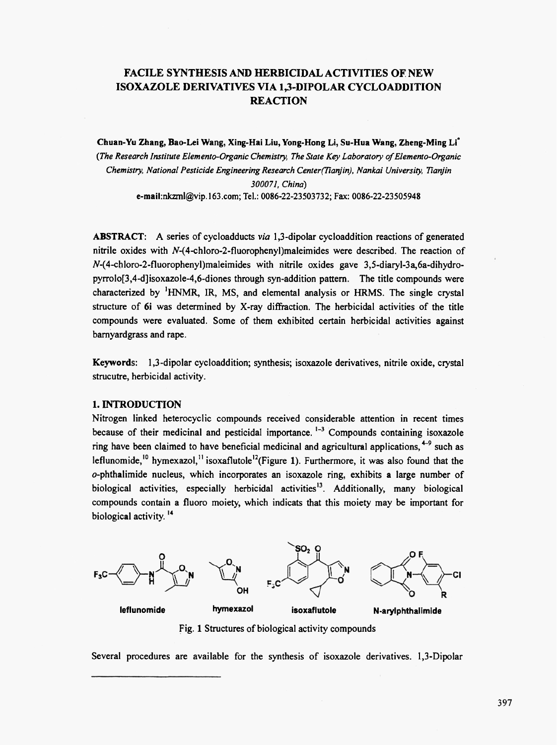# **FACILE SYNTHESIS AND HERBICIDAL ACTIVITIES OF NEW** ISOXAZOLE DERIVATIVES VIA 1,3-DIPOLAR CYCLOADDITION **REACTION**

Chuan-Yu Zhang, Bao-Lei Wang, Xing-Hai Liu, Yong-Hong Li, Su-Hua Wang, Zheng-Ming Li<sup>\*</sup> (The Research Institute Elemento-Organic Chemistry, The State Key Laboratory of Elemento-Organic Chemistry, National Pesticide Engineering Research Center(Tianjin), Nankai University, Tianjin 300071, China) e-mail:nkzml@vip.163.com; Tel.: 0086-22-23503732; Fax: 0086-22-23505948

**ABSTRACT:** A series of cycloadducts via 1,3-dipolar cycloaddition reactions of generated nitrile oxides with  $N$ -(4-chloro-2-fluorophenyl)maleimides were described. The reaction of N-(4-chloro-2-fluorophenyl)maleimides with nitrile oxides gave 3,5-diaryl-3a,6a-dihydropyrrolo[3,4-d]isoxazole-4,6-diones through syn-addition pattern. The title compounds were characterized by <sup>1</sup>HNMR, IR, MS, and elemental analysis or HRMS. The single crystal structure of 6i was determined by X-ray diffraction. The herbicidal activities of the title compounds were evaluated. Some of them exhibited certain herbicidal activities against barnyardgrass and rape.

Keywords: 1,3-dipolar cycloaddition; synthesis; isoxazole derivatives, nitrile oxide, crystal strucutre, herbicidal activity.

## 1. INTRODUCTION

Nitrogen linked heterocyclic compounds received considerable attention in recent times because of their medicinal and pesticidal importance.  $1-3$  Compounds containing isoxazole ring have been claimed to have beneficial medicinal and agricultural applications,  $4-9$  such as leflunomide,<sup>10</sup> hymexazol,<sup>11</sup> isoxaflutole<sup>12</sup>(Figure 1). Furthermore, it was also found that the  $o$ -phthalimide nucleus, which incorporates an isoxazole ring, exhibits a large number of biological activities, especially herbicidal activities<sup>13</sup>. Additionally, many biological compounds contain a fluoro mojety, which indicats that this mojety may be important for biological activity.<sup>14</sup>



Fig. 1 Structures of biological activity compounds

Several procedures are available for the synthesis of isoxazole derivatives. 1,3-Dipolar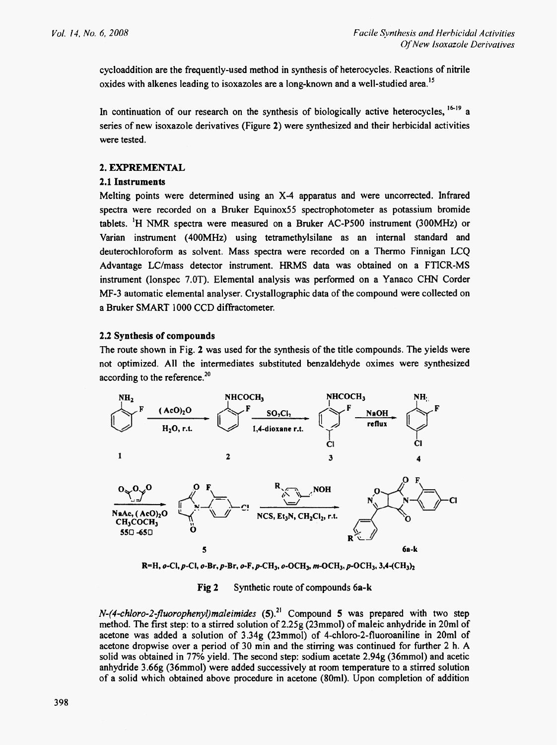cycloaddition are the frequently-used method in synthesis of heterocycles. Reactions of nitrile oxides with alkenes leading to isoxazoles are a long-known and a well-studied area.<sup>15</sup>

In continuation of our research on the synthesis of biologically active heterocycles,  $16-19$  a series of new isoxazole derivatives (Figure 2) were synthesized and their herbicidal activities were tested.

### 2. EXPREMENTAL

### 2.1 Instruments

Melting points were determined using an X-4 apparatus and were uncorrected. Infrared spectra were recorded on a Bruker Equinox55 spectrophotometer as potassium bromide tablets. <sup>1</sup>H NMR spectra were measured on a Bruker AC-P500 instrument (300MHz) or Varian instrument (400MHz) using tetramethylsilane as an internal standard and deuterochloroform as solvent. Mass spectra were recorded on a Thermo Finnigan LCQ Advantage LC/mass detector instrument. HRMS data was obtained on a FTICR-MS instrument (Ionspec 7.0T). Elemental analysis was performed on a Yanaco CHN Corder MF-3 automatic elemental analyser. Crystallographic data of the compound were collected on a Bruker SMART 1000 CCD diffractometer.

#### 2.2 Synthesis of compounds

The route shown in Fig. 2 was used for the synthesis of the title compounds. The yields were not optimized. All the intermediates substituted benzaldehyde oximes were synthesized according to the reference.<sup>20</sup>



R=H, o-Cl, p-Cl, o-Br, p-Br, o-F, p-CH<sub>3</sub>, o-OCH<sub>3</sub>, m-OCH<sub>3</sub>, p-OCH<sub>3</sub>, 3,4-(CH<sub>3</sub>)<sub>2</sub>

#### Fig 2 Synthetic route of compounds 6a-k

 $N-(4\text{-}chloro-2\text{-}fluorophenyl) maleimides (5).<sup>21</sup> Compound 5 was prepared with two step$ method. The first step: to a stirred solution of 2.25g (23mmol) of maleic anhydride in 20ml of acetone was added a solution of 3.34g (23mmol) of 4-chloro-2-fluoroaniline in 20ml of acetone dropwise over a period of 30 min and the stirring was continued for further 2 h. A solid was obtained in 77% yield. The second step: sodium acetate 2.94g (36mmol) and acetic anhydride 3.66g (36mmol) were added successively at room temperature to a stirred solution of a solid which obtained above procedure in acetone (80ml). Upon completion of addition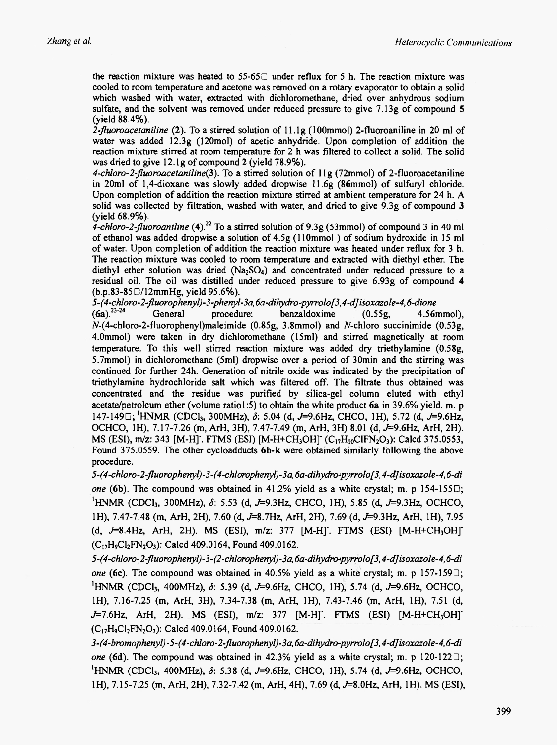the reaction mixture was heated to 55-65 $\Box$  under reflux for 5 h. The reaction mixture was cooled to room temperature and acetone was removed on a rotary evaporator to obtain a solid which washed with water, extracted with dichloromethane, dried over anhydrous sodium sulfate, and the solvent was removed under reduced pressure to give 7.13g of compound 5 (vield 88.4%).

2-fluoroacetaniline (2). To a stirred solution of  $11.1g$  (100mmol) 2-fluoroaniline in 20 ml of water was added 12.3g (120mol) of acetic anhydride. Upon completion of addition the reaction mixture stirred at room temperature for 2 h was filtered to collect a solid. The solid was dried to give 12.1g of compound 2 (yield 78.9%).

4-chloro-2-fluoroacetaniline(3). To a stirred solution of 11g (72mmol) of 2-fluoroacetaniline in 20ml of 1,4-dioxane was slowly added dropwise 11.6g (86mmol) of sulfuryl chloride. Upon completion of addition the reaction mixture stirred at ambient temperature for 24 h. A solid was collected by filtration, washed with water, and dried to give 9.3g of compound 3 (yield 68.9%).

4-chloro-2-fluoroaniline (4).<sup>22</sup> To a stirred solution of 9.3g (53mmol) of compound 3 in 40 ml of ethanol was added dropwise a solution of 4.5g (110mmol) of sodium hydroxide in 15 ml of water. Upon completion of addition the reaction mixture was heated under reflux for 3 h. The reaction mixture was cooled to room temperature and extracted with diethyl ether. The diethyl ether solution was dried (Na<sub>2</sub>SO<sub>4</sub>) and concentrated under reduced pressure to a residual oil. The oil was distilled under reduced pressure to give 6.93g of compound 4  $(b.p.83-85 \square/12mmHg, yield 95.6\%).$ 

5-(4-chloro-2-fluorophenyl)-3-phenyl-3a,6a-dihydro-pyrrolof3,4-d]isoxazole-4,6-dione

 $(6a)^{23-24}$ General procedure: benzaldoxime  $4.56$ mmol $).$  $(0.55g,$  $N-(4$ -chloro-2-fluorophenyl)maleimide (0.85g, 3.8mmol) and N-chloro succinimide (0.53g, 4.0mmol) were taken in dry dichloromethane (15ml) and stirred magnetically at room temperature. To this well stirred reaction mixture was added dry triethylamine (0.58g, 5.7mmol) in dichloromethane (5ml) dropwise over a period of 30min and the stirring was continued for further 24h. Generation of nitrile oxide was indicated by the precipitation of triethylamine hydrochloride salt which was filtered off. The filtrate thus obtained was concentrated and the residue was purified by silica-gel column eluted with ethyl acetate/petroleum ether (volume ratio1:5) to obtain the white product 6a in 39.6% yield. m. p 147-149 $\Box$ ; HNMR (CDCl<sub>3</sub>, 300MHz),  $\delta$ : 5.04 (d, J=9.6Hz, CHCO, 1H), 5.72 (d, J=9.6Hz, OCHCO, 1H), 7.17-7.26 (m, ArH, 3H), 7.47-7.49 (m, ArH, 3H) 8.01 (d, J=9.6Hz, ArH, 2H). MS (ESI), m/z: 343 [M-H]'. FTMS (ESI) [M-H+CH<sub>3</sub>OH]' (C<sub>17</sub>H<sub>10</sub>ClFN<sub>2</sub>O<sub>3</sub>): Calcd 375.0553, Found 375.0559. The other cycloadducts 6b-k were obtained similarly following the above procedure.

5-(4-chloro-2-fluorophenyl)-3-(4-chlorophenyl)-3a,6a-dihydro-pyrrolof3,4-d]isoxazole-4,6-di one (6b). The compound was obtained in 41.2% yield as a white crystal; m. p 154-155 $\Box$ ; <sup>1</sup>HNMR (CDCl<sub>3</sub>, 300MHz),  $\delta$ : 5.53 (d, J=9.3Hz, CHCO, 1H), 5.85 (d, J=9.3Hz, OCHCO, 1H), 7.47-7.48 (m, ArH, 2H), 7.60 (d, J=8.7Hz, ArH, 2H), 7.69 (d, J=9.3Hz, ArH, 1H), 7.95  $(d, J=8.4 Hz, ArH, 2H)$ . MS  $(ESI), m/z$ : 377 [M-H]. FTMS  $(ESI)$  [M-H+CH<sub>3</sub>OH]]  $(C_{17}H_9Cl_2FN_2O_3)$ : Calcd 409.0164, Found 409.0162.

5-(4-chloro-2-fluorophenyl)-3-(2-chlorophenyl)-3a,6a-dihydro-pyrrolof3,4-d]isoxazole-4,6-di one (6c). The compound was obtained in 40.5% yield as a white crystal; m. p 157-159 $\Box$ ; <sup>1</sup>HNMR (CDCl<sub>3</sub>, 400MHz),  $\delta$ : 5.39 (d, J=9.6Hz, CHCO, 1H), 5.74 (d, J=9.6Hz, OCHCO, 1H), 7.16-7.25 (m, ArH, 3H), 7.34-7.38 (m, ArH, 1H), 7.43-7.46 (m, ArH, 1H), 7.51 (d,  $J=7.6$ Hz, ArH, 2H). MS (ESI), m/z: 377 [M-H]. FTMS (ESI) [M-H+CH<sub>3</sub>OH]  $(C_{17}H_0Cl_2FN_2O_3)$ : Calcd 409.0164, Found 409.0162.

3-(4-bromophenyl)-5-(4-chloro-2-fluorophenyl)-3a,6a-dihydro-pyrrolo[3,4-d]isoxazole-4,6-di one (6d). The compound was obtained in 42.3% yield as a white crystal; m. p 120-122 $\Box$ ; <sup>1</sup>HNMR (CDCl<sub>3</sub>, 400MHz),  $\delta$ : 5.38 (d, J=9.6Hz, CHCO, 1H), 5.74 (d, J=9.6Hz, OCHCO, 1H), 7.15-7.25 (m, ArH, 2H), 7.32-7.42 (m, ArH, 4H), 7.69 (d, J=8.0Hz, ArH, 1H). MS (ESI),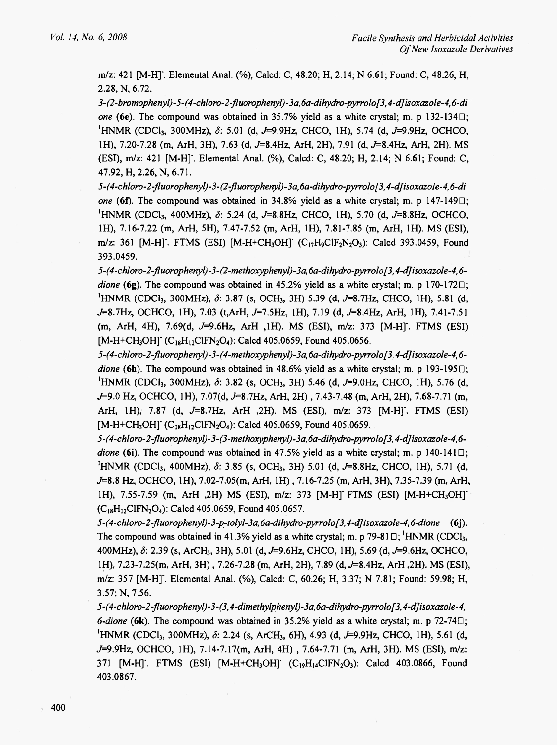m/z: 421 [M-H]. Elemental Anal. (%), Calcd: C, 48.20; H, 2.14; N 6.61; Found: C, 48.26, H, 2.28, N, 6.72.

3-(2-bromophenyl)-5-(4-chloro-2-fluorophenyl)-3a,6a-dihydro-pyrrolof3,4-d]isoxazole-4,6-di one (6e). The compound was obtained in 35.7% yield as a white crystal; m. p 132-134 $\Box$ ; <sup>1</sup>HNMR (CDCl<sub>3</sub>, 300MHz),  $\delta$ : 5.01 (d, J=9.9Hz, CHCO, 1H), 5.74 (d, J=9.9Hz, OCHCO, 1H), 7.20-7.28 (m, ArH, 3H), 7.63 (d, J=8.4Hz, ArH, 2H), 7.91 (d, J=8.4Hz, ArH, 2H). MS (ESI), m/z: 421 [M-H]. Elemental Anal. (%), Calcd: C, 48.20; H, 2.14; N 6.61; Found: C, 47.92, H, 2.26, N, 6.71.

5-(4-chloro-2-fluorophenyl)-3-(2-fluorophenyl)-3a,6a-dihydro-pyrrolo[3,4-d]isoxazole-4,6-di one (6f). The compound was obtained in 34.8% yield as a white crystal; m. p 147-149 $\Box$ ; <sup>1</sup>HNMR (CDCl<sub>3</sub>, 400MHz),  $\delta$ : 5.24 (d, J=8.8Hz, CHCO, 1H), 5.70 (d, J=8.8Hz, OCHCO, 1H), 7.16-7.22 (m, ArH, 5H), 7.47-7.52 (m, ArH, 1H), 7.81-7.85 (m, ArH, 1H). MS (ESI), m/z: 361 [M-H]. FTMS (ESI) [M-H+CH<sub>3</sub>OH] (C<sub>17</sub>H<sub>9</sub>ClF<sub>2</sub>N<sub>2</sub>O<sub>3</sub>): Calcd 393.0459, Found 393.0459.

5-(4-chloro-2-fluorophenyl)-3-(2-methoxyphenyl)-3a,6a-dihydro-pyrrolof3,4-d]isoxazole-4,6dione (6g). The compound was obtained in 45.2% yield as a white crystal; m. p 170-172 $\Box$ ; <sup>1</sup>HNMR (CDCl<sub>3</sub>, 300MHz),  $\delta$ : 3.87 (s, OCH<sub>3</sub>, 3H) 5.39 (d, J=8.7Hz, CHCO, 1H), 5.81 (d, J=8.7Hz, OCHCO, 1H), 7.03 (t,ArH, J=7.5Hz, 1H), 7.19 (d, J=8.4Hz, ArH, 1H), 7.41-7.51 (m, ArH, 4H), 7.69(d, J=9.6Hz, ArH, 1H). MS (ESI), m/z: 373 [M-H]. FTMS (ESI) [M-H+CH<sub>3</sub>OH] (C<sub>18</sub>H<sub>12</sub>ClFN<sub>2</sub>O<sub>4</sub>): Calcd 405.0659, Found 405.0656.

5-(4-chloro-2-fluorophenyl)-3-(4-methoxyphenyl)-3a,6a-dihydro-pyrrolo[3,4-d]isoxazole-4,6dione (6h). The compound was obtained in 48.6% yield as a white crystal; m. p 193-195 $\Box$ ; <sup>1</sup>HNMR (CDCl<sub>3</sub>, 300MHz),  $\delta$ : 3.82 (s, OCH<sub>3</sub>, 3H) 5.46 (d, J=9.0Hz, CHCO, 1H), 5.76 (d, J=9.0 Hz, OCHCO, 1H), 7.07(d, J=8.7Hz, ArH, 2H), 7.43-7.48 (m, ArH, 2H), 7.68-7.71 (m, ArH, 1H), 7.87 (d, J=8.7Hz, ArH ,2H). MS (ESI), m/z: 373 [M-H]'. FTMS (ESI) [M-H+CH<sub>3</sub>OH]' (C<sub>18</sub>H<sub>12</sub>ClFN<sub>2</sub>O<sub>4</sub>): Calcd 405.0659, Found 405.0659.

5-(4-chloro-2-fluorophenyl)-3-(3-methoxyphenyl)-3a.6a-dihydro-pyrrolo[3,4-d]isoxazole-4.6dione (6i). The compound was obtained in 47.5% yield as a white crystal; m. p 140-141 $\Box$ ; <sup>1</sup>HNMR (CDCl<sub>3</sub>, 400MHz),  $\delta$ : 3.85 (s, OCH<sub>3</sub>, 3H) 5.01 (d, J=8.8Hz, CHCO, 1H), 5.71 (d, J=8.8 Hz, OCHCO, 1H), 7.02-7.05(m, ArH, 1H), 7.16-7.25 (m, ArH, 3H), 7.35-7.39 (m, ArH, 1H), 7.55-7.59 (m, ArH ,2H) MS (ESI), m/z: 373 [M-H] FTMS (ESI) [M-H+CH<sub>3</sub>OH] (C<sub>18</sub>H<sub>12</sub>ClFN<sub>2</sub>O<sub>4</sub>): Calcd 405.0659, Found 405.0657.

5-(4-chloro-2-fluorophenyl)-3-p-tolyl-3a,6a-dihydro-pyrrolof3,4-dJisoxazole-4,6-dione (6j). The compound was obtained in 41.3% yield as a white crystal; m. p 79-81 $\Box$ ; HNMR (CDCl<sub>3</sub>, 400MHz), δ: 2.39 (s, ArCH<sub>3</sub>, 3H), 5.01 (d, J=9.6Hz, CHCO, 1H), 5.69 (d, J=9.6Hz, OCHCO, 1H), 7.23-7.25(m, ArH, 3H), 7.26-7.28 (m, ArH, 2H), 7.89 (d, J=8.4Hz, ArH, 2H). MS (ESI), m/z: 357 [M-H]. Elemental Anal. (%), Calcd: C, 60.26; H, 3.37; N 7.81; Found: 59.98; H, 3.57; N, 7.56.

5-(4-chloro-2-fluorophenyl)-3-(3,4-dimethylphenyl)-3a,6a-dihydro-pyrrolo[3,4-d]isoxazole-4, 6-dione (6k). The compound was obtained in 35.2% yield as a white crystal; m. p 72-74 $\Box$ ; <sup>1</sup>HNMR (CDCl<sub>3</sub>, 300MHz),  $\delta$ : 2.24 (s, ArCH<sub>3</sub>, 6H), 4.93 (d, J=9.9Hz, CHCO, 1H), 5.61 (d, J=9.9Hz, OCHCO, 1H), 7.14-7.17(m, ArH, 4H), 7.64-7.71 (m, ArH, 3H). MS (ESI), m/z: 371 [M-H]'. FTMS (ESI) [M-H+CH<sub>3</sub>OH]' (C<sub>19</sub>H<sub>14</sub>ClFN<sub>2</sub>O<sub>3</sub>): Calcd 403.0866, Found 403.0867.

y.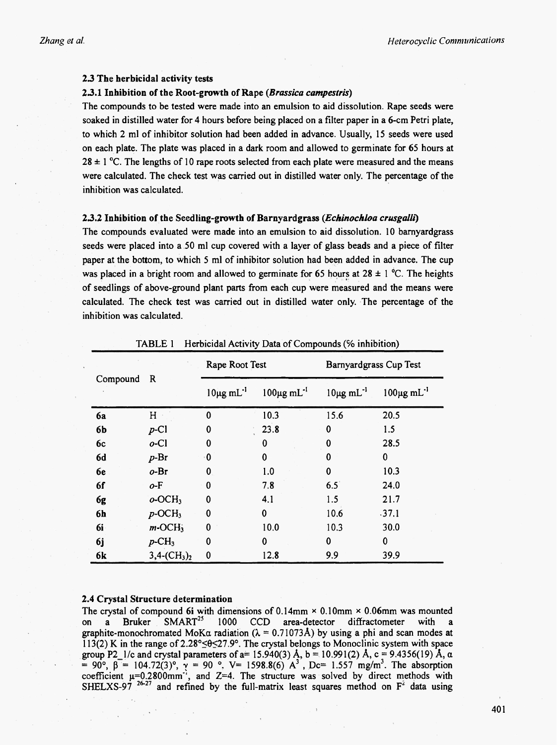#### 2.3 The herbicidal activity tests

### 2.3.1 Inhibition of the Root-growth of Rape (Brassica campestris)

The compounds to be tested were made into an emulsion to aid dissolution. Rape seeds were soaked in distilled water for 4 hours before being placed on a filter paper in a 6-cm Petri plate, to which 2 ml of inhibitor solution had been added in advance. Usually, 15 seeds were used on each plate. The plate was placed in a dark room and allowed to germinate for 65 hours at  $28 \pm 1$  °C. The lengths of 10 rape roots selected from each plate were measured and the means were calculated. The check test was carried out in distilled water only. The percentage of the inhibition was calculated.

#### 2.3.2 Inhibition of the Seedling-growth of Barnyardgrass (Echinochloa crusgalli)

The compounds evaluated were made into an emulsion to aid dissolution. 10 barnyardgrass seeds were placed into a 50 ml cup covered with a layer of glass beads and a piece of filter paper at the bottom, to which 5 ml of inhibitor solution had been added in advance. The cup was placed in a bright room and allowed to germinate for 65 hours at  $28 \pm 1$  °C. The heights of seedlings of above-ground plant parts from each cup were measured and the means were calculated. The check test was carried out in distilled water only. The percentage of the inhibition was calculated.

| Compound   | $\mathbf R$           | Rape Root Test             |                                  | Barnyardgrass Cup Test     |                              |
|------------|-----------------------|----------------------------|----------------------------------|----------------------------|------------------------------|
|            |                       | $10\mu g$ mL <sup>-1</sup> | $100\mu\text{g} \text{ mL}^{-1}$ | $10\mu g$ mL <sup>-1</sup> | $100 \mu g$ mL <sup>-1</sup> |
| <b>6a</b>  | H                     | 0                          | 10.3                             | 15.6                       | 20.5                         |
| 6 <b>b</b> | $p$ -Cl               | 0                          | 23.8                             | 0                          | 1.5                          |
| 6c         | $o$ -Cl               | 0                          | 0                                | 0                          | 28.5                         |
| 6d         | $p-Br$                | 0                          | 0                                | 0                          | 0                            |
| 6e         | $o-Br$                | 0                          | 1.0                              | 0                          | 10.3                         |
| 6f         | o-F                   | 0                          | 7.8                              | 6.5                        | 24.0                         |
| 6g         | $o$ -OCH <sub>3</sub> | 0                          | 4.1                              | 1.5                        | 21.7                         |
| 6h         | $p$ -OC $H_3$         | 0                          | $\bf{0}$                         | 10.6                       | .37.1                        |
| 6i         | $m$ -OC $H_3$         | 0                          | 10.0                             | 10.3                       | 30.0                         |
| 6j         | $p$ -CH <sub>3</sub>  | 0                          | 0                                | 0                          | 0                            |
| 6k         | $3,4-(CH_3)_2$        | 0                          | 12.8                             | 9.9                        | 39.9                         |

TABLE 1 Herbicidal Activity Data of Compounds (% inhibition)

### 2.4 Crystal Structure determination

The crystal of compound 6i with dimensions of 0.14mm  $\times$  0.10mm  $\times$  0.06mm was mounted  $SMARK<sup>25</sup>$ 1000  $CCD$ area-detector diffractometer with on a Bruker  $\mathbf{a}$ graphite-monochromated MoK $\alpha$  radiation ( $\lambda = 0.71073$ Å) by using a phi and scan modes at 113(2) K in the range of  $2.28^{\circ} \le 27.9^{\circ}$ . The crystal belongs to Monoclinic system with space group P2\_1/c and crystal parameters of a= 15.940(3) A, b = 10.991(2) A, c = 9.4356(19) A,  $\alpha$ = 90°,  $\beta$  = 104.72(3)°,  $\gamma$  = 90°. V= 1598.8(6) A<sup>3</sup>, Dc= 1.557 mg/m<sup>3</sup>. The absorption<br>coefficient  $\mu$ =0.2800mm<sup>-1</sup>, and Z=4. The structure was solved by direct methods with<br>SHELXS-97<sup>26-27</sup> and refined by the full-m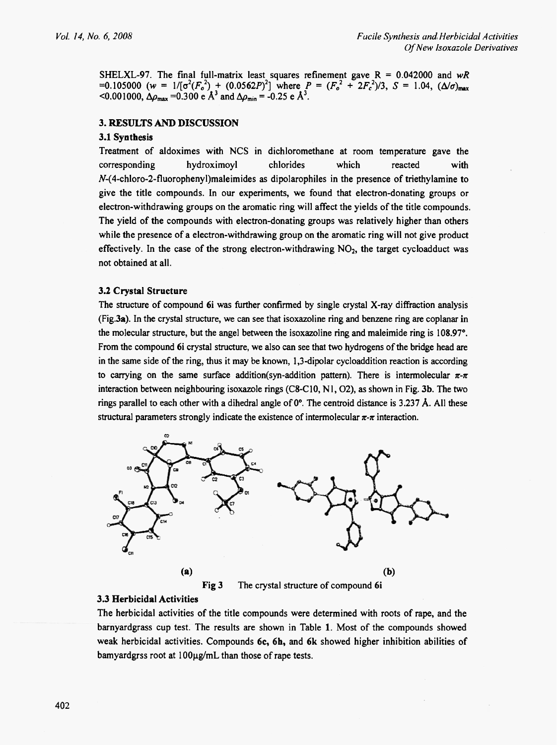SHELXL-97. The final full-matrix least squares refinement gave  $R = 0.042000$  and wR =0.105000 ( $w = 1/[\sigma^2(F_o^2) + (0.0562P)^2]$  where  $P = (F_o^2 + 2F_c^2)/3$ ,  $S = 1.04$ ,  $(\Delta/\sigma)_{\text{max}}$ <0.001000,  $\Delta \rho_{\text{max}} = 0.300 \text{ e A}^3$  and  $\Delta \rho_{\text{min}} = -0.25 \text{ e A}^3$ .

# 3. RESULTS AND DISCUSSION

#### 3.1 Synthesis

Treatment of aldoximes with NCS in dichloromethane at room temperature gave the chlorides corresponding hydroximoyl which reacted with  $N-(4$ -chloro-2-fluorophenyl)maleimides as dipolarophiles in the presence of triethylamine to give the title compounds. In our experiments, we found that electron-donating groups or electron-withdrawing groups on the aromatic ring will affect the yields of the title compounds. The yield of the compounds with electron-donating groups was relatively higher than others while the presence of a electron-withdrawing group on the aromatic ring will not give product effectively. In the case of the strong electron-withdrawing  $NO<sub>2</sub>$ , the target cycloadduct was not obtained at all.

#### 3.2 Crystal Structure

The structure of compound 6i was further confirmed by single crystal X-ray diffraction analysis (Fig.3a). In the crystal structure, we can see that isoxazoline ring and benzene ring are coplanar in the molecular structure, but the angel between the isoxazoline ring and maleimide ring is 108.97°. From the compound 6 crystal structure, we also can see that two hydrogens of the bridge head are in the same side of the ring, thus it may be known, 1,3-dipolar cycloaddition reaction is according to carrying on the same surface addition(syn-addition pattern). There is intermolecular  $\pi$ - $\pi$ interaction between neighbouring isoxazole rings (C8-C10, N1, O2), as shown in Fig. 3b. The two rings parallel to each other with a dihedral angle of  $0^{\circ}$ . The centroid distance is 3.237 Å. All these structural parameters strongly indicate the existence of intermolecular  $\pi$ - $\pi$  interaction.



Fig 3 The crystal structure of compound 6i

#### 3.3 Herbicidal Activities

The herbicidal activities of the title compounds were determined with roots of rape, and the barnyardgrass cup test. The results are shown in Table 1. Most of the compounds showed weak herbicidal activities. Compounds 6c, 6h, and 6k showed higher inhibition abilities of bamyardgrss root at 100µg/mL than those of rape tests.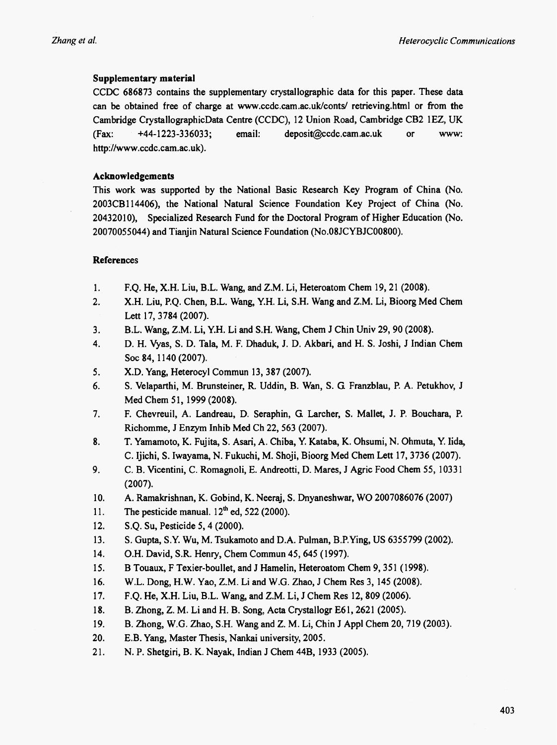# Supplementary material

CCDC 686873 contains the supplementary crystallographic data for this paper. These data can be obtained free of charge at www.ccdc.cam.ac.uk/conts/ retrieving.html or from the Cambridge CrystallographicData Centre (CCDC), 12 Union Road, Cambridge CB2 1EZ, UK deposit@ccdc.cam.ac.uk (Fax:  $+44-1223-336033$ ; email:  $or$ www: http://www.ccdc.cam.ac.uk).

# Acknowledgements

This work was supported by the National Basic Research Key Program of China (No. 2003CB114406), the National Natural Science Foundation Key Project of China (No. 20432010). Specialized Research Fund for the Doctoral Program of Higher Education (No. 20070055044) and Tianjin Natural Science Foundation (No.08JCYBJC00800).

# **References**

- F.Q. He, X.H. Liu, B.L. Wang, and Z.M. Li, Heteroatom Chem 19, 21 (2008).  $1.$
- X.H. Liu, P.Q. Chen, B.L. Wang, Y.H. Li, S.H. Wang and Z.M. Li, Bioorg Med Chem  $2.$ Lett 17, 3784 (2007).
- $3<sub>1</sub>$ B.L. Wang, Z.M. Li, Y.H. Li and S.H. Wang, Chem J Chin Univ 29, 90 (2008).
- 4. D. H. Vyas, S. D. Tala, M. F. Dhaduk, J. D. Akbari, and H. S. Joshi, J Indian Chem Soc 84, 1140 (2007).
- 5. X.D. Yang, Heterocyl Commun 13, 387 (2007).
- 6. S. Velaparthi, M. Brunsteiner, R. Uddin, B. Wan, S. G. Franzblau, P. A. Petukhov, J. Med Chem 51, 1999 (2008).
- 7. F. Chevreuil, A. Landreau, D. Seraphin, G. Larcher, S. Mallet, J. P. Bouchara, P. Richomme, J Enzym Inhib Med Ch 22, 563 (2007).
- T. Yamamoto, K. Fujita, S. Asari, A. Chiba, Y. Kataba, K. Ohsumi, N. Ohmuta, Y. Iida, 8. C. Ijichi, S. Iwayama, N. Fukuchi, M. Shoji, Bioorg Med Chem Lett 17, 3736 (2007).
- 9. C. B. Vicentini, C. Romagnoli, E. Andreotti, D. Mares, J Agric Food Chem 55, 10331  $(2007).$
- 10. A. Ramakrishnan, K. Gobind, K. Neeraj, S. Dnyaneshwar, WO 2007086076 (2007)
- The pesticide manual.  $12<sup>th</sup>$  ed. 522 (2000).  $11.$
- S.O. Su. Pesticide 5, 4 (2000).  $12.$
- $13.$ S. Gupta, S.Y. Wu, M. Tsukamoto and D.A. Pulman, B.P. Ying, US 6355799 (2002).
- O.H. David, S.R. Henry, Chem Commun 45, 645 (1997). 14.
- 15. B Touaux, F Texier-boullet, and J Hamelin, Heteroatom Chem 9, 351 (1998).
- W.L. Dong, H.W. Yao, Z.M. Li and W.G. Zhao, J Chem Res 3, 145 (2008). 16.
- 17. F.Q. He, X.H. Liu, B.L. Wang, and Z.M. Li, J Chem Res 12, 809 (2006).
- 18. B. Zhong, Z. M. Li and H. B. Song, Acta Crystallogr E61, 2621 (2005).
- B. Zhong, W.G. Zhao, S.H. Wang and Z. M. Li, Chin J Appl Chem 20, 719 (2003). 19.
- $20.$ E.B. Yang, Master Thesis, Nankai university, 2005.
- $21.$ N. P. Shetgiri, B. K. Nayak, Indian J Chem 44B, 1933 (2005).